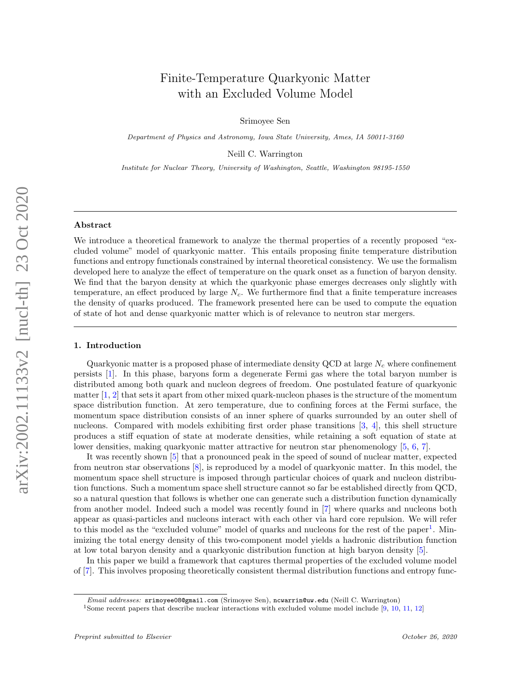# Finite-Temperature Quarkyonic Matter with an Excluded Volume Model

Srimoyee Sen

Department of Physics and Astronomy, Iowa State University, Ames, IA 50011-3160

Neill C. Warrington

Institute for Nuclear Theory, University of Washington, Seattle, Washington 98195-1550

## Abstract

We introduce a theoretical framework to analyze the thermal properties of a recently proposed "excluded volume" model of quarkyonic matter. This entails proposing finite temperature distribution functions and entropy functionals constrained by internal theoretical consistency. We use the formalism developed here to analyze the effect of temperature on the quark onset as a function of baryon density. We find that the baryon density at which the quarkyonic phase emerges decreases only slightly with temperature, an effect produced by large  $N_c$ . We furthermore find that a finite temperature increases the density of quarks produced. The framework presented here can be used to compute the equation of state of hot and dense quarkyonic matter which is of relevance to neutron star mergers.

#### 1. Introduction

Quarkyonic matter is a proposed phase of intermediate density QCD at large  $N_c$  where confinement persists [\[1\]](#page-11-0). In this phase, baryons form a degenerate Fermi gas where the total baryon number is distributed among both quark and nucleon degrees of freedom. One postulated feature of quarkyonic matter  $[1, 2]$  $[1, 2]$  $[1, 2]$  that sets it apart from other mixed quark-nucleon phases is the structure of the momentum space distribution function. At zero temperature, due to confining forces at the Fermi surface, the momentum space distribution consists of an inner sphere of quarks surrounded by an outer shell of nucleons. Compared with models exhibiting first order phase transitions [\[3,](#page-11-2) [4\]](#page-11-3), this shell structure produces a stiff equation of state at moderate densities, while retaining a soft equation of state at lower densities, making quarkyonic matter attractive for neutron star phenomenology [\[5,](#page-11-4) [6,](#page-11-5) [7\]](#page-11-6).

It was recently shown [\[5\]](#page-11-4) that a pronounced peak in the speed of sound of nuclear matter, expected from neutron star observations [\[8\]](#page-11-7), is reproduced by a model of quarkyonic matter. In this model, the momentum space shell structure is imposed through particular choices of quark and nucleon distribution functions. Such a momentum space shell structure cannot so far be established directly from QCD, so a natural question that follows is whether one can generate such a distribution function dynamically from another model. Indeed such a model was recently found in [\[7\]](#page-11-6) where quarks and nucleons both appear as quasi-particles and nucleons interact with each other via hard core repulsion. We will refer to this model as the "excluded volume" model of quarks and nucleons for the rest of the paper<sup>[1](#page-0-0)</sup>. Minimizing the total energy density of this two-component model yields a hadronic distribution function at low total baryon density and a quarkyonic distribution function at high baryon density [\[5\]](#page-11-4).

In this paper we build a framework that captures thermal properties of the excluded volume model of [\[7\]](#page-11-6). This involves proposing theoretically consistent thermal distribution functions and entropy func-

Email addresses: srimoyee08@gmail.com (Srimoyee Sen), ncwarrin@uw.edu (Neill C. Warrington)

<span id="page-0-0"></span><sup>&</sup>lt;sup>1</sup>Some recent papers that describe nuclear interactions with excluded volume model include [\[9,](#page-11-8) [10,](#page-12-0) [11,](#page-12-1) [12\]](#page-12-2)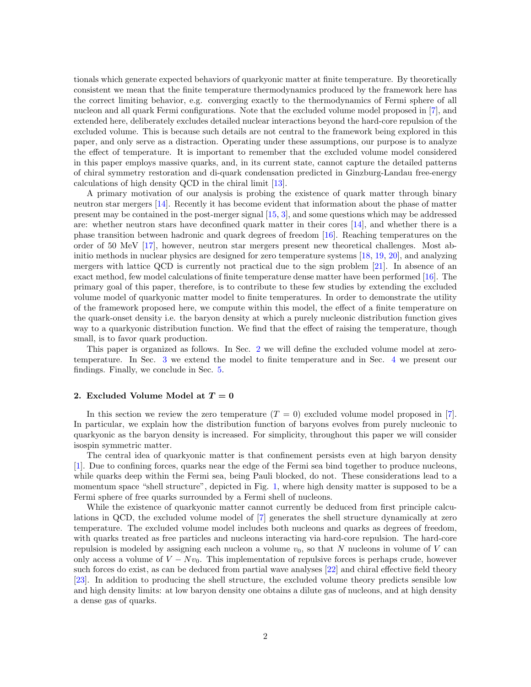tionals which generate expected behaviors of quarkyonic matter at finite temperature. By theoretically consistent we mean that the finite temperature thermodynamics produced by the framework here has the correct limiting behavior, e.g. converging exactly to the thermodynamics of Fermi sphere of all nucleon and all quark Fermi configurations. Note that the excluded volume model proposed in [\[7\]](#page-11-6), and extended here, deliberately excludes detailed nuclear interactions beyond the hard-core repulsion of the excluded volume. This is because such details are not central to the framework being explored in this paper, and only serve as a distraction. Operating under these assumptions, our purpose is to analyze the effect of temperature. It is important to remember that the excluded volume model considered in this paper employs massive quarks, and, in its current state, cannot capture the detailed patterns of chiral symmetry restoration and di-quark condensation predicted in Ginzburg-Landau free-energy calculations of high density QCD in the chiral limit [\[13\]](#page-12-3).

A primary motivation of our analysis is probing the existence of quark matter through binary neutron star mergers [\[14\]](#page-12-4). Recently it has become evident that information about the phase of matter present may be contained in the post-merger signal [\[15,](#page-12-5) [3\]](#page-11-2), and some questions which may be addressed are: whether neutron stars have deconfined quark matter in their cores [\[14\]](#page-12-4), and whether there is a phase transition between hadronic and quark degrees of freedom [\[16\]](#page-12-6). Reaching temperatures on the order of 50 MeV [\[17\]](#page-12-7), however, neutron star mergers present new theoretical challenges. Most abinitio methods in nuclear physics are designed for zero temperature systems [\[18,](#page-12-8) [19,](#page-12-9) [20\]](#page-12-10), and analyzing mergers with lattice QCD is currently not practical due to the sign problem [\[21\]](#page-12-11). In absence of an exact method, few model calculations of finite temperature dense matter have been performed [\[16\]](#page-12-6). The primary goal of this paper, therefore, is to contribute to these few studies by extending the excluded volume model of quarkyonic matter model to finite temperatures. In order to demonstrate the utility of the framework proposed here, we compute within this model, the effect of a finite temperature on the quark-onset density i.e. the baryon density at which a purely nucleonic distribution function gives way to a quarkyonic distribution function. We find that the effect of raising the temperature, though small, is to favor quark production.

This paper is organized as follows. In Sec. [2](#page-1-0) we will define the excluded volume model at zerotemperature. In Sec. [3](#page-5-0) we extend the model to finite temperature and in Sec. [4](#page-6-0) we present our findings. Finally, we conclude in Sec. [5.](#page-10-0)

#### <span id="page-1-0"></span>2. Excluded Volume Model at  $T = 0$

In this section we review the zero temperature  $(T = 0)$  excluded volume model proposed in [\[7\]](#page-11-6). In particular, we explain how the distribution function of baryons evolves from purely nucleonic to quarkyonic as the baryon density is increased. For simplicity, throughout this paper we will consider isospin symmetric matter.

The central idea of quarkyonic matter is that confinement persists even at high baryon density [\[1\]](#page-11-0). Due to confining forces, quarks near the edge of the Fermi sea bind together to produce nucleons, while quarks deep within the Fermi sea, being Pauli blocked, do not. These considerations lead to a momentum space "shell structure", depicted in Fig. [1,](#page-2-0) where high density matter is supposed to be a Fermi sphere of free quarks surrounded by a Fermi shell of nucleons.

While the existence of quarkyonic matter cannot currently be deduced from first principle calculations in QCD, the excluded volume model of [\[7\]](#page-11-6) generates the shell structure dynamically at zero temperature. The excluded volume model includes both nucleons and quarks as degrees of freedom, with quarks treated as free particles and nucleons interacting via hard-core repulsion. The hard-core repulsion is modeled by assigning each nucleon a volume  $v_0$ , so that N nucleons in volume of V can only access a volume of  $V - Nv_0$ . This implementation of repulsive forces is perhaps crude, however such forces do exist, as can be deduced from partial wave analyses [\[22\]](#page-12-12) and chiral effective field theory [\[23\]](#page-12-13). In addition to producing the shell structure, the excluded volume theory predicts sensible low and high density limits: at low baryon density one obtains a dilute gas of nucleons, and at high density a dense gas of quarks.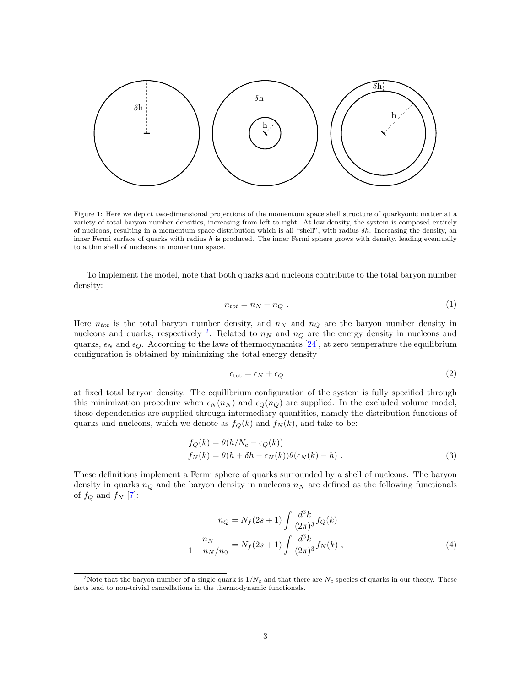<span id="page-2-0"></span>

Figure 1: Here we depict two-dimensional projections of the momentum space shell structure of quarkyonic matter at a variety of total baryon number densities, increasing from left to right. At low density, the system is composed entirely of nucleons, resulting in a momentum space distribution which is all "shell", with radius  $\delta h$ . Increasing the density, an inner Fermi surface of quarks with radius  $h$  is produced. The inner Fermi sphere grows with density, leading eventually to a thin shell of nucleons in momentum space.

To implement the model, note that both quarks and nucleons contribute to the total baryon number density:

$$
n_{tot} = n_N + n_Q \tag{1}
$$

Here  $n_{tot}$  is the total baryon number density, and  $n_N$  and  $n_Q$  are the baryon number density in nucleons and quarks, respectively <sup>[2](#page-2-1)</sup>. Related to  $n<sub>N</sub>$  and  $n<sub>Q</sub>$  are the energy density in nucleons and quarks,  $\epsilon_N$  and  $\epsilon_Q$ . According to the laws of thermodynamics [\[24\]](#page-13-0), at zero temperature the equilibrium configuration is obtained by minimizing the total energy density

<span id="page-2-2"></span>
$$
\epsilon_{\rm tot} = \epsilon_N + \epsilon_Q \tag{2}
$$

at fixed total baryon density. The equilibrium configuration of the system is fully specified through this minimization procedure when  $\epsilon_N (n_N)$  and  $\epsilon_Q (n_Q)$  are supplied. In the excluded volume model, these dependencies are supplied through intermediary quantities, namely the distribution functions of quarks and nucleons, which we denote as  $f_Q(k)$  and  $f_N(k)$ , and take to be:

$$
f_Q(k) = \theta(h/N_c - \epsilon_Q(k))
$$
  
\n
$$
f_N(k) = \theta(h + \delta h - \epsilon_N(k))\theta(\epsilon_N(k) - h)
$$
 (3)

These definitions implement a Fermi sphere of quarks surrounded by a shell of nucleons. The baryon density in quarks  $n_Q$  and the baryon density in nucleons  $n_N$  are defined as the following functionals of  $f_Q$  and  $f_N$  [\[7\]](#page-11-6):

<span id="page-2-3"></span>
$$
n_Q = N_f(2s+1) \int \frac{d^3k}{(2\pi)^3} f_Q(k)
$$

$$
\frac{n_N}{1 - n_N/n_0} = N_f(2s+1) \int \frac{d^3k}{(2\pi)^3} f_N(k) , \qquad (4)
$$

<span id="page-2-1"></span><sup>&</sup>lt;sup>2</sup>Note that the baryon number of a single quark is  $1/N_c$  and that there are  $N_c$  species of quarks in our theory. These facts lead to non-trivial cancellations in the thermodynamic functionals.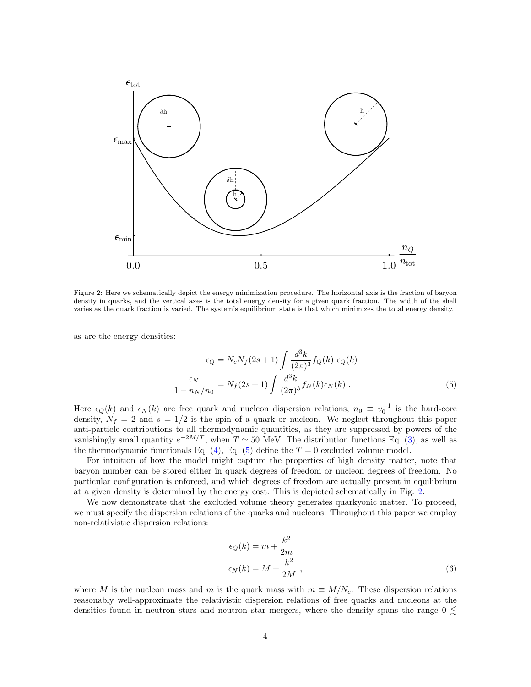<span id="page-3-1"></span>

Figure 2: Here we schematically depict the energy minimization procedure. The horizontal axis is the fraction of baryon density in quarks, and the vertical axes is the total energy density for a given quark fraction. The width of the shell varies as the quark fraction is varied. The system's equilibrium state is that which minimizes the total energy density.

as are the energy densities:

$$
\epsilon_Q = N_c N_f (2s+1) \int \frac{d^3k}{(2\pi)^3} f_Q(k) \epsilon_Q(k)
$$

$$
\frac{\epsilon_N}{1 - n_N/n_0} = N_f (2s+1) \int \frac{d^3k}{(2\pi)^3} f_N(k) \epsilon_N(k) . \tag{5}
$$

Here  $\epsilon_Q(k)$  and  $\epsilon_N(k)$  are free quark and nucleon dispersion relations,  $n_0 \equiv v_0^{-1}$  is the hard-core density,  $N_f = 2$  and  $s = 1/2$  is the spin of a quark or nucleon. We neglect throughout this paper anti-particle contributions to all thermodynamic quantities, as they are suppressed by powers of the vanishingly small quantity  $e^{-2M/T}$ , when  $T \simeq 50$  MeV. The distribution functions Eq. [\(3\)](#page-2-2), as well as the thermodynamic functionals Eq. [\(4\)](#page-2-3), Eq. [\(5\)](#page-3-0) define the  $T = 0$  excluded volume model.

For intuition of how the model might capture the properties of high density matter, note that baryon number can be stored either in quark degrees of freedom or nucleon degrees of freedom. No particular configuration is enforced, and which degrees of freedom are actually present in equilibrium at a given density is determined by the energy cost. This is depicted schematically in Fig. [2.](#page-3-1)

We now demonstrate that the excluded volume theory generates quarkyonic matter. To proceed, we must specify the dispersion relations of the quarks and nucleons. Throughout this paper we employ non-relativistic dispersion relations:

<span id="page-3-0"></span>
$$
\epsilon_Q(k) = m + \frac{k^2}{2m} \n\epsilon_N(k) = M + \frac{k^2}{2M},
$$
\n(6)

where M is the nucleon mass and m is the quark mass with  $m \equiv M/N_c$ . These dispersion relations reasonably well-approximate the relativistic dispersion relations of free quarks and nucleons at the densities found in neutron stars and neutron star mergers, where the density spans the range  $0 \leq$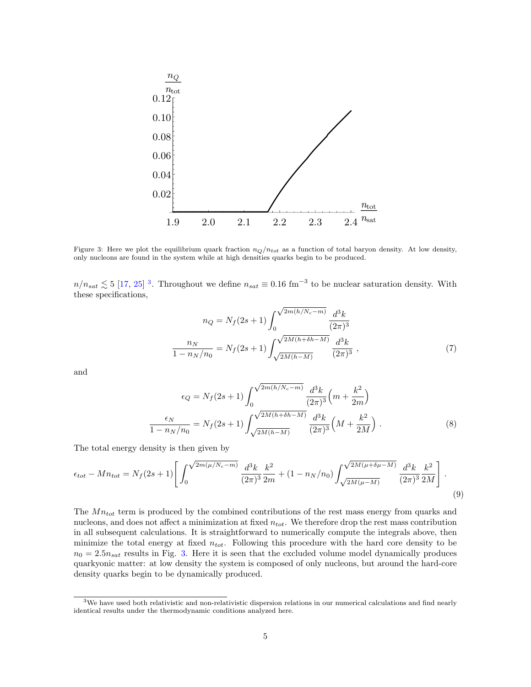<span id="page-4-1"></span>

Figure 3: Here we plot the equilibrium quark fraction  $n_Q/n_{tot}$  as a function of total baryon density. At low density, only nucleons are found in the system while at high densities quarks begin to be produced.

 $n/n_{sat} \lesssim 5$  [\[17,](#page-12-7) [25\]](#page-13-1)<sup>[3](#page-4-0)</sup>. Throughout we define  $n_{sat} \equiv 0.16$  fm<sup>-3</sup> to be nuclear saturation density. With these specifications,

$$
n_Q = N_f(2s+1) \int_0^{\sqrt{2m(h/N_c-m)}} \frac{d^3k}{(2\pi)^3}
$$

$$
\frac{n_N}{1 - n_N/n_0} = N_f(2s+1) \int_{\sqrt{2M(h-M)}}^{\sqrt{2M(h+\delta h-M)}} \frac{d^3k}{(2\pi)^3},
$$
(7)

and

$$
\epsilon_Q = N_f (2s+1) \int_0^{\sqrt{2m(h/N_c-m)}} \frac{d^3k}{(2\pi)^3} \left(m + \frac{k^2}{2m}\right)
$$

$$
\frac{\epsilon_N}{1 - n_N/n_0} = N_f (2s+1) \int_{\sqrt{2M(h-M)}}^{\sqrt{2M(h+\delta h-M)}} \frac{d^3k}{(2\pi)^3} \left(M + \frac{k^2}{2M}\right).
$$
(8)

The total energy density is then given by

$$
\epsilon_{tot} - Mn_{tot} = N_f(2s+1) \left[ \int_0^{\sqrt{2m(\mu/N_c - m)}} \frac{d^3k}{(2\pi)^3} \frac{k^2}{2m} + (1 - n_N/n_0) \int_{\sqrt{2M(\mu - M)}}^{\sqrt{2M(\mu + \delta \mu - M)}} \frac{d^3k}{(2\pi)^3} \frac{k^2}{2M} \right].
$$
\n(9)

The  $Mn_{tot}$  term is produced by the combined contributions of the rest mass energy from quarks and nucleons, and does not affect a minimization at fixed  $n_{tot}$ . We therefore drop the rest mass contribution in all subsequent calculations. It is straightforward to numerically compute the integrals above, then minimize the total energy at fixed  $n_{tot}$ . Following this procedure with the hard core density to be  $n_0 = 2.5n_{sat}$  results in Fig. [3.](#page-4-1) Here it is seen that the excluded volume model dynamically produces quarkyonic matter: at low density the system is composed of only nucleons, but around the hard-core density quarks begin to be dynamically produced.

<span id="page-4-0"></span><sup>3</sup>We have used both relativistic and non-relativistic dispersion relations in our numerical calculations and find nearly identical results under the thermodynamic conditions analyzed here.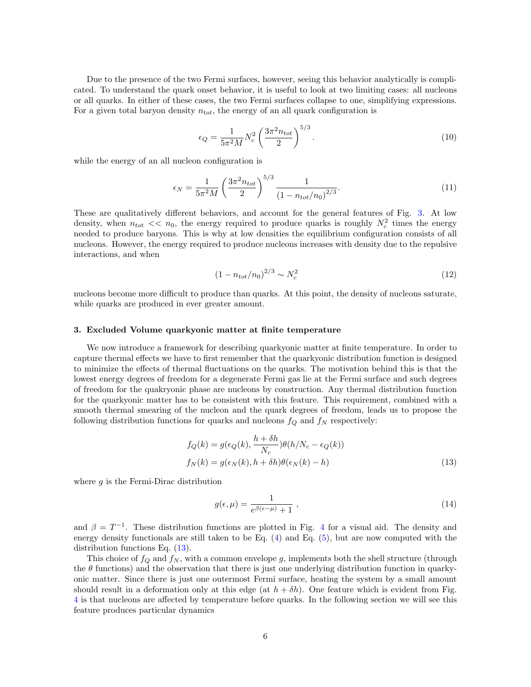Due to the presence of the two Fermi surfaces, however, seeing this behavior analytically is complicated. To understand the quark onset behavior, it is useful to look at two limiting cases: all nucleons or all quarks. In either of these cases, the two Fermi surfaces collapse to one, simplifying expressions. For a given total baryon density  $n_{tot}$ , the energy of an all quark configuration is

$$
\epsilon_Q = \frac{1}{5\pi^2 M} N_c^2 \left(\frac{3\pi^2 n_{tot}}{2}\right)^{5/3}.
$$
\n(10)

while the energy of an all nucleon configuration is

$$
\epsilon_N = \frac{1}{5\pi^2 M} \left(\frac{3\pi^2 n_{tot}}{2}\right)^{5/3} \frac{1}{\left(1 - n_{tot}/n_0\right)^{2/3}}.\tag{11}
$$

These are qualitatively different behaviors, and account for the general features of Fig. [3.](#page-4-1) At low density, when  $n_{tot} \ll n_0$ , the energy required to produce quarks is roughly  $N_c^2$  times the energy needed to produce baryons. This is why at low densities the equilibrium configuration consists of all nucleons. However, the energy required to produce nucleons increases with density due to the repulsive interactions, and when

$$
(1 - n_{tot}/n_0)^{2/3} \sim N_c^2 \tag{12}
$$

nucleons become more difficult to produce than quarks. At this point, the density of nucleons saturate, while quarks are produced in ever greater amount.

#### <span id="page-5-0"></span>3. Excluded Volume quarkyonic matter at finite temperature

We now introduce a framework for describing quarkyonic matter at finite temperature. In order to capture thermal effects we have to first remember that the quarkyonic distribution function is designed to minimize the effects of thermal fluctuations on the quarks. The motivation behind this is that the lowest energy degrees of freedom for a degenerate Fermi gas lie at the Fermi surface and such degrees of freedom for the quakryonic phase are nucleons by construction. Any thermal distribution function for the quarkyonic matter has to be consistent with this feature. This requirement, combined with a smooth thermal smearing of the nucleon and the quark degrees of freedom, leads us to propose the following distribution functions for quarks and nucleons  $f_Q$  and  $f_N$  respectively:

$$
f_Q(k) = g(\epsilon_Q(k), \frac{h + \delta h}{N_c}) \theta(h/N_c - \epsilon_Q(k))
$$
  

$$
f_N(k) = g(\epsilon_N(k), h + \delta h) \theta(\epsilon_N(k) - h)
$$
 (13)

where  $g$  is the Fermi-Dirac distribution

<span id="page-5-1"></span>
$$
g(\epsilon,\mu) = \frac{1}{e^{\beta(\epsilon-\mu)}+1} \;, \tag{14}
$$

and  $\beta = T^{-1}$ . These distribution functions are plotted in Fig. [4](#page-6-1) for a visual aid. The density and energy density functionals are still taken to be Eq.  $(4)$  and Eq.  $(5)$ , but are now computed with the distribution functions Eq. [\(13\)](#page-5-1).

This choice of  $f_Q$  and  $f_N$ , with a common envelope g, implements both the shell structure (through the  $\theta$  functions) and the observation that there is just one underlying distribution function in quarkyonic matter. Since there is just one outermost Fermi surface, heating the system by a small amount should result in a deformation only at this edge (at  $h + \delta h$ ). One feature which is evident from Fig. [4](#page-6-1) is that nucleons are affected by temperature before quarks. In the following section we will see this feature produces particular dynamics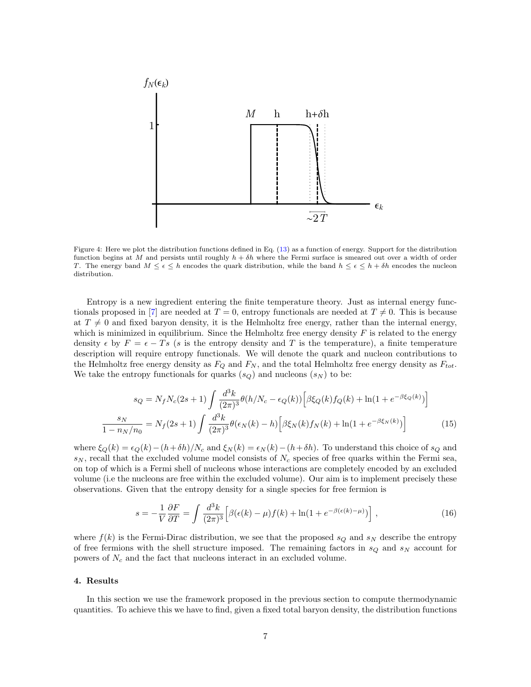<span id="page-6-1"></span>

Figure 4: Here we plot the distribution functions defined in Eq. [\(13\)](#page-5-1) as a function of energy. Support for the distribution function begins at M and persists until roughly  $h + \delta h$  where the Fermi surface is smeared out over a width of order T. The energy band  $M \leq \epsilon \leq h$  encodes the quark distribution, while the band  $h \leq \epsilon \leq h + \delta h$  encodes the nucleon distribution.

Entropy is a new ingredient entering the finite temperature theory. Just as internal energy func-tionals proposed in [\[7\]](#page-11-6) are needed at  $T = 0$ , entropy functionals are needed at  $T \neq 0$ . This is because at  $T \neq 0$  and fixed baryon density, it is the Helmholtz free energy, rather than the internal energy, which is minimized in equilibrium. Since the Helmholtz free energy density  $F$  is related to the energy density  $\epsilon$  by  $F = \epsilon - Ts$  (s is the entropy density and T is the temperature), a finite temperature description will require entropy functionals. We will denote the quark and nucleon contributions to the Helmholtz free energy density as  $F_Q$  and  $F_N$ , and the total Helmholtz free energy density as  $F_{tot}$ . We take the entropy functionals for quarks  $(s_Q)$  and nucleons  $(s_N)$  to be:

$$
s_Q = N_f N_c (2s+1) \int \frac{d^3k}{(2\pi)^3} \theta(h/N_c - \epsilon_Q(k)) \left[ \beta \xi_Q(k) f_Q(k) + \ln(1 + e^{-\beta \xi_Q(k)}) \right]
$$
  

$$
\frac{s_N}{1 - n_N/n_0} = N_f (2s+1) \int \frac{d^3k}{(2\pi)^3} \theta(\epsilon_N(k) - h) \left[ \beta \xi_N(k) f_N(k) + \ln(1 + e^{-\beta \xi_N(k)}) \right]
$$
(15)

where  $\xi_Q(k) = \epsilon_Q(k) - (h+\delta h)/N_c$  and  $\xi_N(k) = \epsilon_N(k) - (h+\delta h)$ . To understand this choice of  $s_Q$  and  $s_N$ , recall that the excluded volume model consists of  $N_c$  species of free quarks within the Fermi sea, on top of which is a Fermi shell of nucleons whose interactions are completely encoded by an excluded volume (i.e the nucleons are free within the excluded volume). Our aim is to implement precisely these observations. Given that the entropy density for a single species for free fermion is

<span id="page-6-2"></span>
$$
s = -\frac{1}{V} \frac{\partial F}{\partial T} = \int \frac{d^3k}{(2\pi)^3} \left[ \beta(\epsilon(k) - \mu) f(k) + \ln(1 + e^{-\beta(\epsilon(k) - \mu)}) \right],\tag{16}
$$

where  $f(k)$  is the Fermi-Dirac distribution, we see that the proposed  $s_Q$  and  $s_N$  describe the entropy of free fermions with the shell structure imposed. The remaining factors in  $s_Q$  and  $s_N$  account for powers of  $N_c$  and the fact that nucleons interact in an excluded volume.

#### <span id="page-6-0"></span>4. Results

In this section we use the framework proposed in the previous section to compute thermodynamic quantities. To achieve this we have to find, given a fixed total baryon density, the distribution functions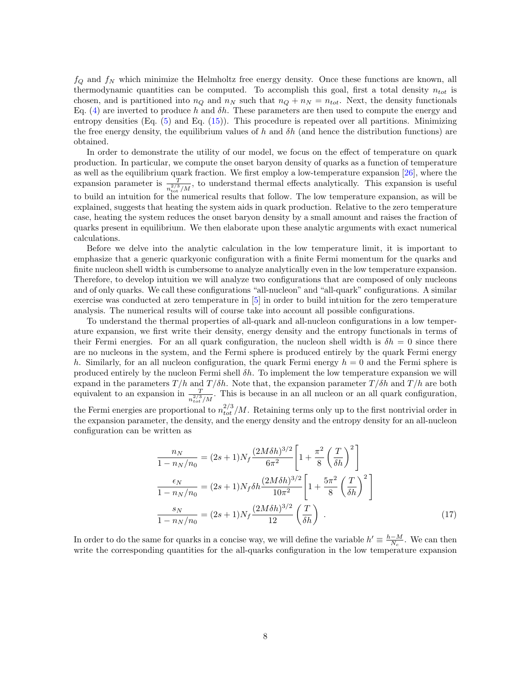$f_Q$  and  $f_N$  which minimize the Helmholtz free energy density. Once these functions are known, all thermodynamic quantities can be computed. To accomplish this goal, first a total density  $n_{tot}$  is chosen, and is partitioned into  $n_Q$  and  $n_N$  such that  $n_Q + n_N = n_{tot}$ . Next, the density functionals Eq. [\(4\)](#page-2-3) are inverted to produce h and  $\delta h$ . These parameters are then used to compute the energy and entropy densities  $(Eq. (5)$  $(Eq. (5)$  and  $Eq. (15)$  $Eq. (15)$ ). This procedure is repeated over all partitions. Minimizing the free energy density, the equilibrium values of h and  $\delta h$  (and hence the distribution functions) are obtained.

In order to demonstrate the utility of our model, we focus on the effect of temperature on quark production. In particular, we compute the onset baryon density of quarks as a function of temperature as well as the equilibrium quark fraction. We first employ a low-temperature expansion [\[26\]](#page-13-2), where the expansion parameter is  $\frac{T}{n_{\text{tot}}^{2/3}/M}$ , to understand thermal effects analytically. This expansion is useful to build an intuition for the numerical results that follow. The low temperature expansion, as will be explained, suggests that heating the system aids in quark production. Relative to the zero temperature case, heating the system reduces the onset baryon density by a small amount and raises the fraction of quarks present in equilibrium. We then elaborate upon these analytic arguments with exact numerical calculations.

Before we delve into the analytic calculation in the low temperature limit, it is important to emphasize that a generic quarkyonic configuration with a finite Fermi momentum for the quarks and finite nucleon shell width is cumbersome to analyze analytically even in the low temperature expansion. Therefore, to develop intuition we will analyze two configurations that are composed of only nucleons and of only quarks. We call these configurations "all-nucleon" and "all-quark" configurations. A similar exercise was conducted at zero temperature in [\[5\]](#page-11-4) in order to build intuition for the zero temperature analysis. The numerical results will of course take into account all possible configurations.

To understand the thermal properties of all-quark and all-nucleon configurations in a low temperature expansion, we first write their density, energy density and the entropy functionals in terms of their Fermi energies. For an all quark configuration, the nucleon shell width is  $\delta h = 0$  since there are no nucleons in the system, and the Fermi sphere is produced entirely by the quark Fermi energy h. Similarly, for an all nucleon configuration, the quark Fermi energy  $h = 0$  and the Fermi sphere is produced entirely by the nucleon Fermi shell  $\delta h$ . To implement the low temperature expansion we will expand in the parameters  $T/h$  and  $T/\delta h$ . Note that, the expansion parameter  $T/\delta h$  and  $T/h$  are both equivalent to an expansion in  $\frac{T}{n_{tot}^{2/3}/M}$ . This is because in an all nucleon or an all quark configuration,

the Fermi energies are proportional to  $n_{tot}^{2/3}/M$ . Retaining terms only up to the first nontrivial order in the expansion parameter, the density, and the energy density and the entropy density for an all-nucleon configuration can be written as

<span id="page-7-0"></span>
$$
\frac{n_N}{1 - n_N/n_0} = (2s + 1)N_f \frac{(2M\delta h)^{3/2}}{6\pi^2} \left[ 1 + \frac{\pi^2}{8} \left( \frac{T}{\delta h} \right)^2 \right]
$$

$$
\frac{\epsilon_N}{1 - n_N/n_0} = (2s + 1)N_f \delta h \frac{(2M\delta h)^{3/2}}{10\pi^2} \left[ 1 + \frac{5\pi^2}{8} \left( \frac{T}{\delta h} \right)^2 \right]
$$

$$
\frac{s_N}{1 - n_N/n_0} = (2s + 1)N_f \frac{(2M\delta h)^{3/2}}{12} \left( \frac{T}{\delta h} \right) .
$$
(17)

In order to do the same for quarks in a concise way, we will define the variable  $h' \equiv \frac{h-M}{N_c}$ . We can then write the corresponding quantities for the all-quarks configuration in the low temperature expansion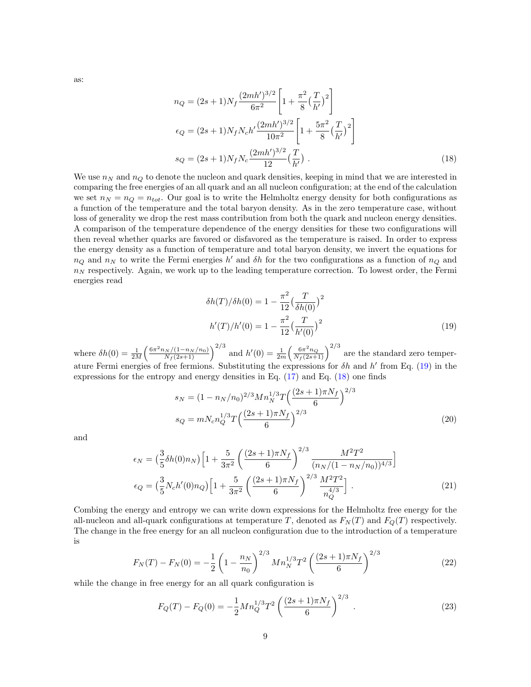as:

<span id="page-8-1"></span>
$$
n_Q = (2s+1)N_f \frac{(2mh')^{3/2}}{6\pi^2} \left[ 1 + \frac{\pi^2}{8} \left( \frac{T}{h'} \right)^2 \right]
$$
  
\n
$$
\epsilon_Q = (2s+1)N_f N_c h' \frac{(2mh')^{3/2}}{10\pi^2} \left[ 1 + \frac{5\pi^2}{8} \left( \frac{T}{h'} \right)^2 \right]
$$
  
\n
$$
s_Q = (2s+1)N_f N_c \frac{(2mh')^{3/2}}{12} \left( \frac{T}{h'} \right) .
$$
\n(18)

We use  $n_N$  and  $n_Q$  to denote the nucleon and quark densities, keeping in mind that we are interested in comparing the free energies of an all quark and an all nucleon configuration; at the end of the calculation we set  $n_N = n_Q = n_{tot}$ . Our goal is to write the Helmholtz energy density for both configurations as a function of the temperature and the total baryon density. As in the zero temperature case, without loss of generality we drop the rest mass contribution from both the quark and nucleon energy densities. A comparison of the temperature dependence of the energy densities for these two configurations will then reveal whether quarks are favored or disfavored as the temperature is raised. In order to express the energy density as a function of temperature and total baryon density, we invert the equations for  $n_Q$  and  $n_N$  to write the Fermi energies h' and  $\delta h$  for the two configurations as a function of  $n_Q$  and  $n<sub>N</sub>$  respectively. Again, we work up to the leading temperature correction. To lowest order, the Fermi energies read

<span id="page-8-0"></span>
$$
\delta h(T)/\delta h(0) = 1 - \frac{\pi^2}{12} \left(\frac{T}{\delta h(0)}\right)^2
$$

$$
h'(T)/h'(0) = 1 - \frac{\pi^2}{12} \left(\frac{T}{h'(0)}\right)^2
$$
(19)

where  $\delta h(0) = \frac{1}{2M} \left( \frac{6\pi^2 n_N/(1-n_N/n_0)}{N_f(2s+1)} \right)^{2/3}$  and  $h'(0) = \frac{1}{2m} \left( \frac{6\pi^2 n_Q}{N_f(2s+1)} \right)^{2/3}$  are the standard zero temperature Fermi energies of free fermions. Substituting the expressions for  $\delta h$  and  $h'$  from Eq. [\(19\)](#page-8-0) in the expressions for the entropy and energy densities in Eq. [\(17\)](#page-7-0) and Eq. [\(18\)](#page-8-1) one finds

$$
s_N = (1 - n_N/n_0)^{2/3} Mn_N^{1/3} T \left(\frac{(2s+1)\pi N_f}{6}\right)^{2/3}
$$
  
\n
$$
s_Q = mN_c n_Q^{1/3} T \left(\frac{(2s+1)\pi N_f}{6}\right)^{2/3}
$$
\n(20)

and

$$
\epsilon_N = \left(\frac{3}{5}\delta h(0)n_N\right)\left[1 + \frac{5}{3\pi^2} \left(\frac{(2s+1)\pi N_f}{6}\right)^{2/3} \frac{M^2 T^2}{(n_N/(1-n_N/n_0))^{4/3}}\right]
$$
  
\n
$$
\epsilon_Q = \left(\frac{3}{5}N_c h'(0)n_Q\right)\left[1 + \frac{5}{3\pi^2} \left(\frac{(2s+1)\pi N_f}{6}\right)^{2/3} \frac{M^2 T^2}{n_Q^4}\right].
$$
\n(21)

Combing the energy and entropy we can write down expressions for the Helmholtz free energy for the all-nucleon and all-quark configurations at temperature T, denoted as  $F<sub>N</sub>(T)$  and  $F<sub>O</sub>(T)$  respectively. The change in the free energy for an all nucleon configuration due to the introduction of a temperature is

$$
F_N(T) - F_N(0) = -\frac{1}{2} \left( 1 - \frac{n_N}{n_0} \right)^{2/3} Mn_N^{1/3} T^2 \left( \frac{(2s+1)\pi N_f}{6} \right)^{2/3}
$$
(22)

while the change in free energy for an all quark configuration is

$$
F_Q(T) - F_Q(0) = -\frac{1}{2} M n_Q^{1/3} T^2 \left( \frac{(2s+1)\pi N_f}{6} \right)^{2/3} . \tag{23}
$$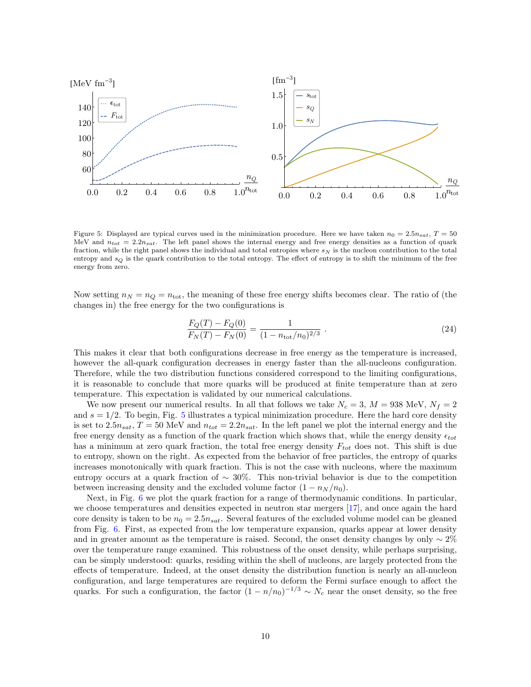<span id="page-9-0"></span>

Figure 5: Displayed are typical curves used in the minimization procedure. Here we have taken  $n_0 = 2.5n_{sat}$ ,  $T = 50$ MeV and  $n_{tot} = 2.2n_{sat}$ . The left panel shows the internal energy and free energy densities as a function of quark fraction, while the right panel shows the individual and total entropies where  $s_N$  is the nucleon contribution to the total entropy and  $s_Q$  is the quark contribution to the total entropy. The effect of entropy is to shift the minimum of the free energy from zero.

Now setting  $n_N = n_Q = n_{\text{tot}}$ , the meaning of these free energy shifts becomes clear. The ratio of (the changes in) the free energy for the two configurations is

$$
\frac{F_Q(T) - F_Q(0)}{F_N(T) - F_N(0)} = \frac{1}{(1 - n_{\text{tot}}/n_0)^{2/3}}.
$$
\n(24)

This makes it clear that both configurations decrease in free energy as the temperature is increased, however the all-quark configuration decreases in energy faster than the all-nucleons configuration. Therefore, while the two distribution functions considered correspond to the limiting configurations, it is reasonable to conclude that more quarks will be produced at finite temperature than at zero temperature. This expectation is validated by our numerical calculations.

We now present our numerical results. In all that follows we take  $N_c = 3$ ,  $M = 938$  MeV,  $N_f = 2$ and  $s = 1/2$ . To begin, Fig. [5](#page-9-0) illustrates a typical minimization procedure. Here the hard core density is set to  $2.5n_{sat}$ ,  $T = 50$  MeV and  $n_{tot} = 2.2n_{sat}$ . In the left panel we plot the internal energy and the free energy density as a function of the quark fraction which shows that, while the energy density  $\epsilon_{tot}$ has a minimum at zero quark fraction, the total free energy density  $F_{tot}$  does not. This shift is due to entropy, shown on the right. As expected from the behavior of free particles, the entropy of quarks increases monotonically with quark fraction. This is not the case with nucleons, where the maximum entropy occurs at a quark fraction of  $\sim 30\%$ . This non-trivial behavior is due to the competition between increasing density and the excluded volume factor  $(1 - n<sub>N</sub>/n<sub>0</sub>)$ .

Next, in Fig. [6](#page-10-1) we plot the quark fraction for a range of thermodynamic conditions. In particular, we choose temperatures and densities expected in neutron star mergers [\[17\]](#page-12-7), and once again the hard core density is taken to be  $n_0 = 2.5n_{sat}$ . Several features of the excluded volume model can be gleaned from Fig. [6.](#page-10-1) First, as expected from the low temperature expansion, quarks appear at lower density and in greater amount as the temperature is raised. Second, the onset density changes by only  $\sim 2\%$ over the temperature range examined. This robustness of the onset density, while perhaps surprising, can be simply understood: quarks, residing within the shell of nucleons, are largely protected from the effects of temperature. Indeed, at the onset density the distribution function is nearly an all-nucleon configuration, and large temperatures are required to deform the Fermi surface enough to affect the quarks. For such a configuration, the factor  $(1 - n/n_0)^{-1/3} \sim N_c$  near the onset density, so the free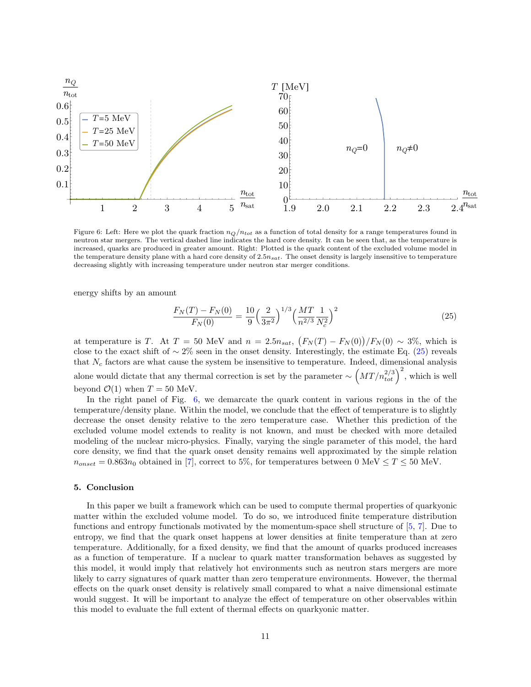<span id="page-10-1"></span>

Figure 6: Left: Here we plot the quark fraction  $n_Q/n_{tot}$  as a function of total density for a range temperatures found in neutron star mergers. The vertical dashed line indicates the hard core density. It can be seen that, as the temperature is increased, quarks are produced in greater amount. Right: Plotted is the quark content of the excluded volume model in the temperature density plane with a hard core density of  $2.5n_{sat}$ . The onset density is largely insensitive to temperature decreasing slightly with increasing temperature under neutron star merger conditions.

energy shifts by an amount

<span id="page-10-2"></span>
$$
\frac{F_N(T) - F_N(0)}{F_N(0)} = \frac{10}{9} \left(\frac{2}{3\pi^2}\right)^{1/3} \left(\frac{MT}{n^{2/3}} \frac{1}{N_c^2}\right)^2 \tag{25}
$$

at temperature is T. At  $T = 50$  MeV and  $n = 2.5n_{sat}$ ,  $(F_N(T) - F_N(0))/F_N(0) \sim 3\%$ , which is close to the exact shift of  $\sim 2\%$  seen in the onset density. Interestingly, the estimate Eq. [\(25\)](#page-10-2) reveals that  $N_c$  factors are what cause the system be insensitive to temperature. Indeed, dimensional analysis alone would dictate that any thermal correction is set by the parameter  $\sim \left(MT/n_{tot}^{2/3}\right)^2$ , which is well beyond  $\mathcal{O}(1)$  when  $T = 50$  MeV.

In the right panel of Fig. [6,](#page-10-1) we demarcate the quark content in various regions in the of the temperature/density plane. Within the model, we conclude that the effect of temperature is to slightly decrease the onset density relative to the zero temperature case. Whether this prediction of the excluded volume model extends to reality is not known, and must be checked with more detailed modeling of the nuclear micro-physics. Finally, varying the single parameter of this model, the hard core density, we find that the quark onset density remains well approximated by the simple relation  $n_{onset} = 0.863n_0$  obtained in [\[7\]](#page-11-6), correct to 5%, for temperatures between 0 MeV  $\leq T \leq 50$  MeV.

### <span id="page-10-0"></span>5. Conclusion

In this paper we built a framework which can be used to compute thermal properties of quarkyonic matter within the excluded volume model. To do so, we introduced finite temperature distribution functions and entropy functionals motivated by the momentum-space shell structure of [\[5,](#page-11-4) [7\]](#page-11-6). Due to entropy, we find that the quark onset happens at lower densities at finite temperature than at zero temperature. Additionally, for a fixed density, we find that the amount of quarks produced increases as a function of temperature. If a nuclear to quark matter transformation behaves as suggested by this model, it would imply that relatively hot environments such as neutron stars mergers are more likely to carry signatures of quark matter than zero temperature environments. However, the thermal effects on the quark onset density is relatively small compared to what a naive dimensional estimate would suggest. It will be important to analyze the effect of temperature on other observables within this model to evaluate the full extent of thermal effects on quarkyonic matter.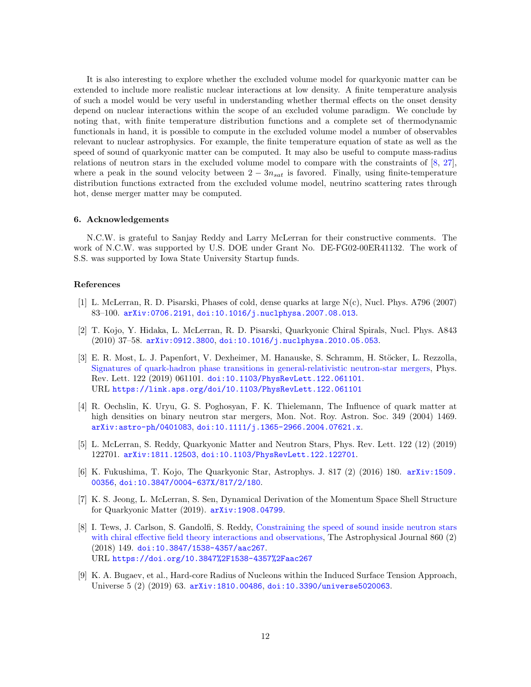It is also interesting to explore whether the excluded volume model for quarkyonic matter can be extended to include more realistic nuclear interactions at low density. A finite temperature analysis of such a model would be very useful in understanding whether thermal effects on the onset density depend on nuclear interactions within the scope of an excluded volume paradigm. We conclude by noting that, with finite temperature distribution functions and a complete set of thermodynamic functionals in hand, it is possible to compute in the excluded volume model a number of observables relevant to nuclear astrophysics. For example, the finite temperature equation of state as well as the speed of sound of quarkyonic matter can be computed. It may also be useful to compute mass-radius relations of neutron stars in the excluded volume model to compare with the constraints of [\[8,](#page-11-7) [27\]](#page-13-3), where a peak in the sound velocity between  $2 - 3n_{sat}$  is favored. Finally, using finite-temperature distribution functions extracted from the excluded volume model, neutrino scattering rates through hot, dense merger matter may be computed.

### 6. Acknowledgements

N.C.W. is grateful to Sanjay Reddy and Larry McLerran for their constructive comments. The work of N.C.W. was supported by U.S. DOE under Grant No. DE-FG02-00ER41132. The work of S.S. was supported by Iowa State University Startup funds.

#### References

- <span id="page-11-0"></span>[1] L. McLerran, R. D. Pisarski, Phases of cold, dense quarks at large N(c), Nucl. Phys. A796 (2007) 83–100. [arXiv:0706.2191](http://arxiv.org/abs/0706.2191), [doi:10.1016/j.nuclphysa.2007.08.013](https://doi.org/10.1016/j.nuclphysa.2007.08.013).
- <span id="page-11-1"></span>[2] T. Kojo, Y. Hidaka, L. McLerran, R. D. Pisarski, Quarkyonic Chiral Spirals, Nucl. Phys. A843 (2010) 37–58. [arXiv:0912.3800](http://arxiv.org/abs/0912.3800), [doi:10.1016/j.nuclphysa.2010.05.053](https://doi.org/10.1016/j.nuclphysa.2010.05.053).
- <span id="page-11-2"></span>[3] E. R. Most, L. J. Papenfort, V. Dexheimer, M. Hanauske, S. Schramm, H. Stöcker, L. Rezzolla, [Signatures of quark-hadron phase transitions in general-relativistic neutron-star mergers,](https://link.aps.org/doi/10.1103/PhysRevLett.122.061101) Phys. Rev. Lett. 122 (2019) 061101. doi:10.1103/PhysRevLett. 122.061101. URL <https://link.aps.org/doi/10.1103/PhysRevLett.122.061101>
- <span id="page-11-3"></span>[4] R. Oechslin, K. Uryu, G. S. Poghosyan, F. K. Thielemann, The Influence of quark matter at high densities on binary neutron star mergers, Mon. Not. Roy. Astron. Soc. 349 (2004) 1469. [arXiv:astro-ph/0401083](http://arxiv.org/abs/astro-ph/0401083), [doi:10.1111/j.1365-2966.2004.07621.x](https://doi.org/10.1111/j.1365-2966.2004.07621.x).
- <span id="page-11-4"></span>[5] L. McLerran, S. Reddy, Quarkyonic Matter and Neutron Stars, Phys. Rev. Lett. 122 (12) (2019) 122701. [arXiv:1811.12503](http://arxiv.org/abs/1811.12503), [doi:10.1103/PhysRevLett.122.122701](https://doi.org/10.1103/PhysRevLett.122.122701).
- <span id="page-11-5"></span>[6] K. Fukushima, T. Kojo, The Quarkyonic Star, Astrophys. J. 817 (2) (2016) 180. [arXiv:1509.](http://arxiv.org/abs/1509.00356) [00356](http://arxiv.org/abs/1509.00356), [doi:10.3847/0004-637X/817/2/180](https://doi.org/10.3847/0004-637X/817/2/180).
- <span id="page-11-6"></span>[7] K. S. Jeong, L. McLerran, S. Sen, Dynamical Derivation of the Momentum Space Shell Structure for Quarkyonic Matter (2019). [arXiv:1908.04799](http://arxiv.org/abs/1908.04799).
- <span id="page-11-7"></span>[8] I. Tews, J. Carlson, S. Gandolfi, S. Reddy, [Constraining the speed of sound inside neutron stars](https://doi.org/10.3847%2F1538-4357%2Faac267) [with chiral effective field theory interactions and observations,](https://doi.org/10.3847%2F1538-4357%2Faac267) The Astrophysical Journal 860 (2) (2018) 149. [doi:10.3847/1538-4357/aac267](https://doi.org/10.3847/1538-4357/aac267). URL <https://doi.org/10.3847%2F1538-4357%2Faac267>
- <span id="page-11-8"></span>[9] K. A. Bugaev, et al., Hard-core Radius of Nucleons within the Induced Surface Tension Approach, Universe 5 (2) (2019) 63. [arXiv:1810.00486](http://arxiv.org/abs/1810.00486), [doi:10.3390/universe5020063](https://doi.org/10.3390/universe5020063).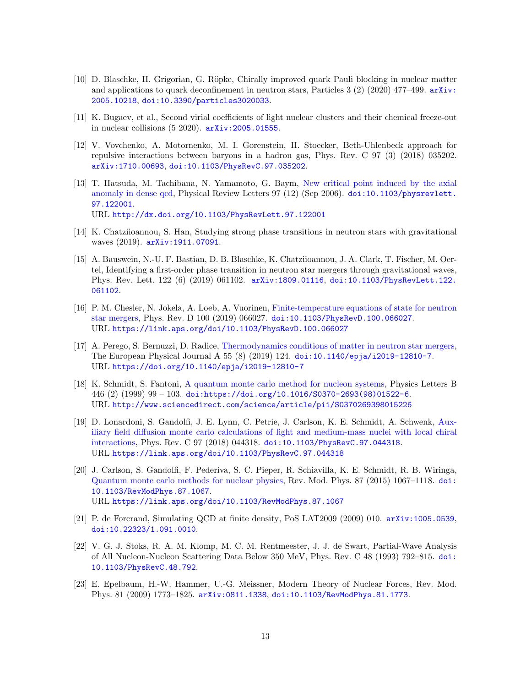- <span id="page-12-0"></span>[10] D. Blaschke, H. Grigorian, G. Röpke, Chirally improved quark Pauli blocking in nuclear matter and applications to quark deconfinement in neutron stars, Particles 3 (2) (2020) 477–499.  $arXiv$ : [2005.10218](http://arxiv.org/abs/2005.10218), [doi:10.3390/particles3020033](https://doi.org/10.3390/particles3020033).
- <span id="page-12-1"></span>[11] K. Bugaev, et al., Second virial coefficients of light nuclear clusters and their chemical freeze-out in nuclear collisions (5 2020). [arXiv:2005.01555](http://arxiv.org/abs/2005.01555).
- <span id="page-12-2"></span>[12] V. Vovchenko, A. Motornenko, M. I. Gorenstein, H. Stoecker, Beth-Uhlenbeck approach for repulsive interactions between baryons in a hadron gas, Phys. Rev. C 97 (3) (2018) 035202. [arXiv:1710.00693](http://arxiv.org/abs/1710.00693), [doi:10.1103/PhysRevC.97.035202](https://doi.org/10.1103/PhysRevC.97.035202).
- <span id="page-12-3"></span>[13] T. Hatsuda, M. Tachibana, N. Yamamoto, G. Baym, [New critical point induced by the axial](http://dx.doi.org/10.1103/PhysRevLett.97.122001) [anomaly in dense qcd,](http://dx.doi.org/10.1103/PhysRevLett.97.122001) Physical Review Letters 97 (12) (Sep 2006). [doi:10.1103/physrevlett.](https://doi.org/10.1103/physrevlett.97.122001) [97.122001](https://doi.org/10.1103/physrevlett.97.122001). URL <http://dx.doi.org/10.1103/PhysRevLett.97.122001>
- <span id="page-12-4"></span>[14] K. Chatziioannou, S. Han, Studying strong phase transitions in neutron stars with gravitational waves (2019). [arXiv:1911.07091](http://arxiv.org/abs/1911.07091).
- <span id="page-12-5"></span>[15] A. Bauswein, N.-U. F. Bastian, D. B. Blaschke, K. Chatziioannou, J. A. Clark, T. Fischer, M. Oertel, Identifying a first-order phase transition in neutron star mergers through gravitational waves, Phys. Rev. Lett. 122 (6) (2019) 061102. [arXiv:1809.01116](http://arxiv.org/abs/1809.01116), [doi:10.1103/PhysRevLett.122.](https://doi.org/10.1103/PhysRevLett.122.061102) [061102](https://doi.org/10.1103/PhysRevLett.122.061102).
- <span id="page-12-6"></span>[16] P. M. Chesler, N. Jokela, A. Loeb, A. Vuorinen, [Finite-temperature equations of state for neutron](https://link.aps.org/doi/10.1103/PhysRevD.100.066027) [star mergers,](https://link.aps.org/doi/10.1103/PhysRevD.100.066027) Phys. Rev. D 100 (2019) 066027. [doi:10.1103/PhysRevD.100.066027](https://doi.org/10.1103/PhysRevD.100.066027). URL <https://link.aps.org/doi/10.1103/PhysRevD.100.066027>
- <span id="page-12-7"></span>[17] A. Perego, S. Bernuzzi, D. Radice, [Thermodynamics conditions of matter in neutron star mergers,](https://doi.org/10.1140/epja/i2019-12810-7) The European Physical Journal A 55 (8) (2019) 124. [doi:10.1140/epja/i2019-12810-7](https://doi.org/10.1140/epja/i2019-12810-7). URL <https://doi.org/10.1140/epja/i2019-12810-7>
- <span id="page-12-8"></span>[18] K. Schmidt, S. Fantoni, [A quantum monte carlo method for nucleon systems,](http://www.sciencedirect.com/science/article/pii/S0370269398015226) Physics Letters B 446 (2) (1999) 99 – 103. [doi:https://doi.org/10.1016/S0370-2693\(98\)01522-6](https://doi.org/https://doi.org/10.1016/S0370-2693(98)01522-6). URL <http://www.sciencedirect.com/science/article/pii/S0370269398015226>
- <span id="page-12-9"></span>[19] D. Lonardoni, S. Gandolfi, J. E. Lynn, C. Petrie, J. Carlson, K. E. Schmidt, A. Schwenk, [Aux](https://link.aps.org/doi/10.1103/PhysRevC.97.044318)[iliary field diffusion monte carlo calculations of light and medium-mass nuclei with local chiral](https://link.aps.org/doi/10.1103/PhysRevC.97.044318) [interactions,](https://link.aps.org/doi/10.1103/PhysRevC.97.044318) Phys. Rev. C 97 (2018) 044318. [doi:10.1103/PhysRevC.97.044318](https://doi.org/10.1103/PhysRevC.97.044318). URL <https://link.aps.org/doi/10.1103/PhysRevC.97.044318>
- <span id="page-12-10"></span>[20] J. Carlson, S. Gandolfi, F. Pederiva, S. C. Pieper, R. Schiavilla, K. E. Schmidt, R. B. Wiringa, [Quantum monte carlo methods for nuclear physics,](https://link.aps.org/doi/10.1103/RevModPhys.87.1067) Rev. Mod. Phys. 87 (2015) 1067–1118. [doi:](https://doi.org/10.1103/RevModPhys.87.1067) [10.1103/RevModPhys.87.1067](https://doi.org/10.1103/RevModPhys.87.1067). URL <https://link.aps.org/doi/10.1103/RevModPhys.87.1067>
- <span id="page-12-11"></span>[21] P. de Forcrand, Simulating QCD at finite density, PoS LAT2009 (2009) 010. [arXiv:1005.0539](http://arxiv.org/abs/1005.0539), [doi:10.22323/1.091.0010](https://doi.org/10.22323/1.091.0010).
- <span id="page-12-12"></span>[22] V. G. J. Stoks, R. A. M. Klomp, M. C. M. Rentmeester, J. J. de Swart, Partial-Wave Analysis of All Nucleon-Nucleon Scattering Data Below 350 MeV, Phys. Rev. C 48 (1993) 792–815. [doi:](https://doi.org/10.1103/PhysRevC.48.792) [10.1103/PhysRevC.48.792](https://doi.org/10.1103/PhysRevC.48.792).
- <span id="page-12-13"></span>[23] E. Epelbaum, H.-W. Hammer, U.-G. Meissner, Modern Theory of Nuclear Forces, Rev. Mod. Phys. 81 (2009) 1773–1825. [arXiv:0811.1338](http://arxiv.org/abs/0811.1338), [doi:10.1103/RevModPhys.81.1773](https://doi.org/10.1103/RevModPhys.81.1773).